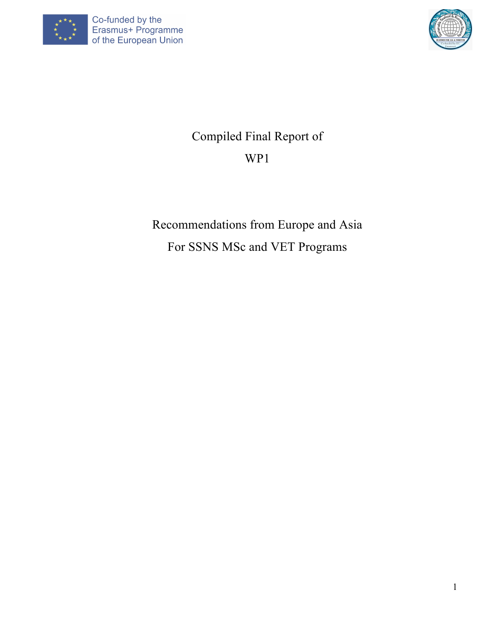



# Compiled Final Report of WP1

# Recommendations from Europe and Asia For SSNS MSc and VET Programs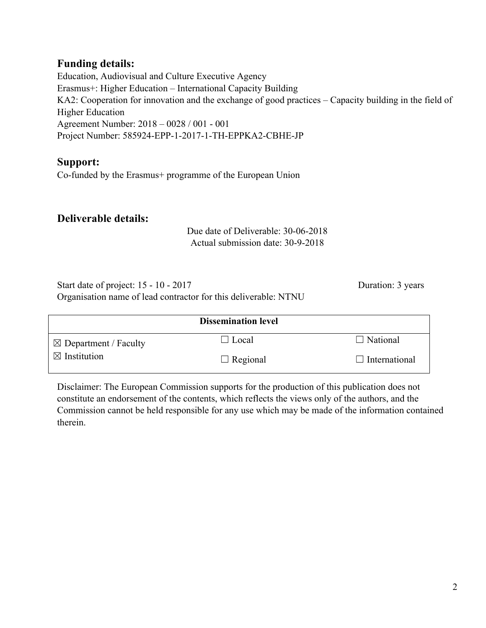# **Funding details:**

Education, Audiovisual and Culture Executive Agency Erasmus+: Higher Education – International Capacity Building KA2: Cooperation for innovation and the exchange of good practices – Capacity building in the field of Higher Education Agreement Number: 2018 – 0028 / 001 - 001 Project Number: 585924-EPP-1-2017-1-TH-EPPKA2-CBHE-JP

# **Support:**

Co-funded by the Erasmus+ programme of the European Union

# **Deliverable details:**

Due date of Deliverable: 30-06-2018 Actual submission date: 30-9-2018

Start date of project: 15 - 10 - 2017 Duration: 3 years Organisation name of lead contractor for this deliverable: NTNU

|                                  | <b>Dissemination level</b> |                      |
|----------------------------------|----------------------------|----------------------|
| $\boxtimes$ Department / Faculty | $\Box$ Local               | $\Box$ National      |
| $\boxtimes$ Institution          | $\Box$ Regional            | $\Box$ International |

Disclaimer: The European Commission supports for the production of this publication does not constitute an endorsement of the contents, which reflects the views only of the authors, and the Commission cannot be held responsible for any use which may be made of the information contained therein.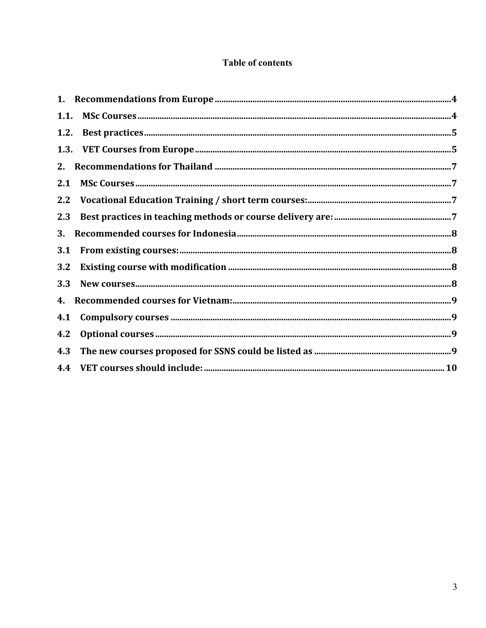# **Table of contents**

| 1.2. |  |
|------|--|
|      |  |
| 2.   |  |
| 2.1  |  |
| 2.2  |  |
| 2.3  |  |
| 3.   |  |
| 3.1  |  |
| 3.2  |  |
| 3.3  |  |
|      |  |
| 4.1  |  |
| 4.2  |  |
| 4.3  |  |
|      |  |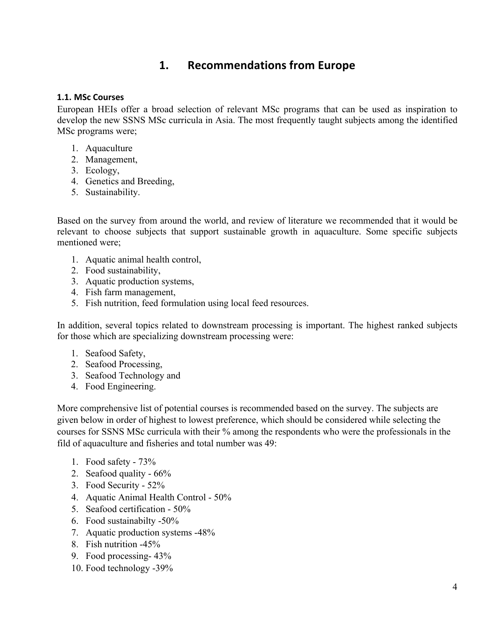# **1. Recommendations from Europe**

#### **1.1. MSc Courses**

European HEIs offer a broad selection of relevant MSc programs that can be used as inspiration to develop the new SSNS MSc curricula in Asia. The most frequently taught subjects among the identified MSc programs were;

- 1. Aquaculture
- 2. Management,
- 3. Ecology,
- 4. Genetics and Breeding,
- 5. Sustainability.

Based on the survey from around the world, and review of literature we recommended that it would be relevant to choose subjects that support sustainable growth in aquaculture. Some specific subjects mentioned were;

- 1. Aquatic animal health control,
- 2. Food sustainability,
- 3. Aquatic production systems,
- 4. Fish farm management,
- 5. Fish nutrition, feed formulation using local feed resources.

In addition, several topics related to downstream processing is important. The highest ranked subjects for those which are specializing downstream processing were:

- 1. Seafood Safety,
- 2. Seafood Processing,
- 3. Seafood Technology and
- 4. Food Engineering.

More comprehensive list of potential courses is recommended based on the survey. The subjects are given below in order of highest to lowest preference, which should be considered while selecting the courses for SSNS MSc curricula with their % among the respondents who were the professionals in the fild of aquaculture and fisheries and total number was 49:

- 1. Food safety 73%
- 2. Seafood quality 66%
- 3. Food Security 52%
- 4. Aquatic Animal Health Control 50%
- 5. Seafood certification 50%
- 6. Food sustainabilty -50%
- 7. Aquatic production systems -48%
- 8. Fish nutrition -45%
- 9. Food processing- 43%
- 10. Food technology -39%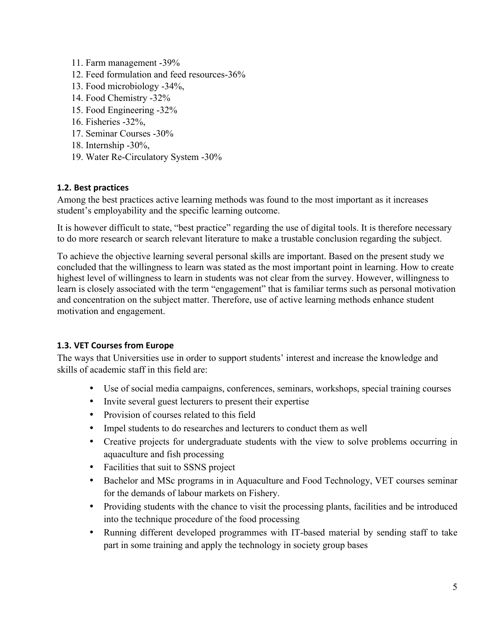- 11. Farm management -39%
- 12. Feed formulation and feed resources-36%
- 13. Food microbiology -34%,
- 14. Food Chemistry -32%
- 15. Food Engineering -32%
- 16. Fisheries -32%,
- 17. Seminar Courses -30%
- 18. Internship -30%,
- 19. Water Re-Circulatory System -30%

# **1.2. Best practices**

Among the best practices active learning methods was found to the most important as it increases student's employability and the specific learning outcome.

It is however difficult to state, "best practice" regarding the use of digital tools. It is therefore necessary to do more research or search relevant literature to make a trustable conclusion regarding the subject.

To achieve the objective learning several personal skills are important. Based on the present study we concluded that the willingness to learn was stated as the most important point in learning. How to create highest level of willingness to learn in students was not clear from the survey. However, willingness to learn is closely associated with the term "engagement" that is familiar terms such as personal motivation and concentration on the subject matter. Therefore, use of active learning methods enhance student motivation and engagement.

# **1.3. VET Courses from Europe**

The ways that Universities use in order to support students' interest and increase the knowledge and skills of academic staff in this field are:

- Use of social media campaigns, conferences, seminars, workshops, special training courses
- Invite several guest lecturers to present their expertise
- Provision of courses related to this field
- Impel students to do researches and lecturers to conduct them as well
- Creative projects for undergraduate students with the view to solve problems occurring in aquaculture and fish processing
- Facilities that suit to SSNS project
- Bachelor and MSc programs in in Aquaculture and Food Technology, VET courses seminar for the demands of labour markets on Fishery.
- Providing students with the chance to visit the processing plants, facilities and be introduced into the technique procedure of the food processing
- Running different developed programmes with IT-based material by sending staff to take part in some training and apply the technology in society group bases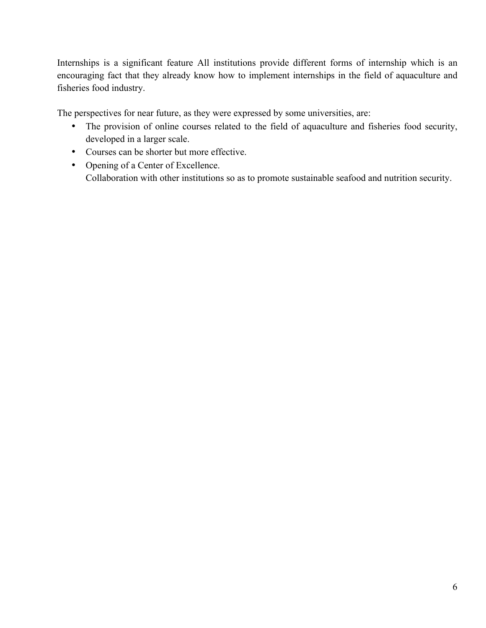Internships is a significant feature All institutions provide different forms of internship which is an encouraging fact that they already know how to implement internships in the field of aquaculture and fisheries food industry.

The perspectives for near future, as they were expressed by some universities, are:

- The provision of online courses related to the field of aquaculture and fisheries food security, developed in a larger scale.
- Courses can be shorter but more effective.
- Opening of a Center of Excellence. Collaboration with other institutions so as to promote sustainable seafood and nutrition security.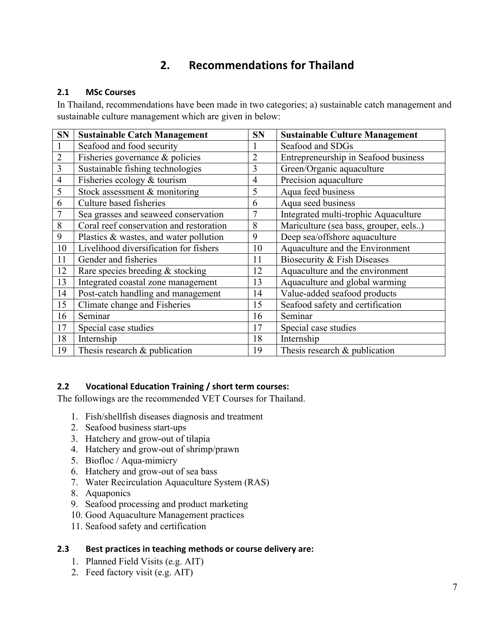# **2. Recommendations for Thailand**

#### **2.1 MSc Courses**

In Thailand, recommendations have been made in two categories; a) sustainable catch management and sustainable culture management which are given in below:

| <b>SN</b>      | <b>Sustainable Catch Management</b>     | <b>SN</b>      | <b>Sustainable Culture Management</b> |
|----------------|-----------------------------------------|----------------|---------------------------------------|
|                | Seafood and food security               |                | Seafood and SDGs                      |
| $\overline{2}$ | Fisheries governance & policies         | $\overline{2}$ | Entrepreneurship in Seafood business  |
| 3              | Sustainable fishing technologies        | 3              | Green/Organic aquaculture             |
| $\overline{4}$ | Fisheries ecology & tourism             | $\overline{4}$ | Precision aquaculture                 |
| 5              | Stock assessment & monitoring           | 5              | Aqua feed business                    |
| 6              | Culture based fisheries                 | 6              | Aqua seed business                    |
| $\overline{7}$ | Sea grasses and seaweed conservation    | $\overline{7}$ | Integrated multi-trophic Aquaculture  |
| 8              | Coral reef conservation and restoration | 8              | Mariculture (sea bass, grouper, eels) |
| 9              | Plastics & wastes, and water pollution  | 9              | Deep sea/offshore aquaculture         |
| 10             | Livelihood diversification for fishers  | 10             | Aquaculture and the Environment       |
| 11             | Gender and fisheries                    | 11             | Biosecurity & Fish Diseases           |
| 12             | Rare species breeding & stocking        | 12             | Aquaculture and the environment       |
| 13             | Integrated coastal zone management      | 13             | Aquaculture and global warming        |
| 14             | Post-catch handling and management      | 14             | Value-added seafood products          |
| 15             | Climate change and Fisheries            | 15             | Seafood safety and certification      |
| 16             | Seminar                                 | 16             | Seminar                               |
| 17             | Special case studies                    | 17             | Special case studies                  |
| 18             | Internship                              | 18             | Internship                            |
| 19             | Thesis research $\&$ publication        | 19             | Thesis research $\&$ publication      |

#### **2.2 Vocational Education Training / short term courses:**

The followings are the recommended VET Courses for Thailand.

- 1. Fish/shellfish diseases diagnosis and treatment
- 2. Seafood business start-ups
- 3. Hatchery and grow-out of tilapia
- 4. Hatchery and grow-out of shrimp/prawn
- 5. Biofloc / Aqua-mimicry
- 6. Hatchery and grow-out of sea bass
- 7. Water Recirculation Aquaculture System (RAS)
- 8. Aquaponics
- 9. Seafood processing and product marketing
- 10. Good Aquaculture Management practices
- 11. Seafood safety and certification

#### **2.3** Best practices in teaching methods or course delivery are:

- 1. Planned Field Visits (e.g. AIT)
- 2. Feed factory visit (e.g. AIT)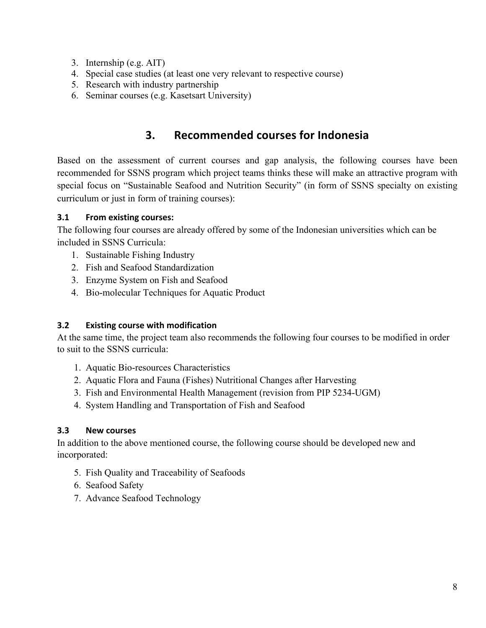- 3. Internship (e.g. AIT)
- 4. Special case studies (at least one very relevant to respective course)
- 5. Research with industry partnership
- 6. Seminar courses (e.g. Kasetsart University)

# **3. Recommended courses for Indonesia**

Based on the assessment of current courses and gap analysis, the following courses have been recommended for SSNS program which project teams thinks these will make an attractive program with special focus on "Sustainable Seafood and Nutrition Security" (in form of SSNS specialty on existing curriculum or just in form of training courses):

#### **3.1 From existing courses:**

The following four courses are already offered by some of the Indonesian universities which can be included in SSNS Curricula:

- 1. Sustainable Fishing Industry
- 2. Fish and Seafood Standardization
- 3. Enzyme System on Fish and Seafood
- 4. Bio-molecular Techniques for Aquatic Product

# **3.2 Existing course with modification**

At the same time, the project team also recommends the following four courses to be modified in order to suit to the SSNS curricula:

- 1. Aquatic Bio-resources Characteristics
- 2. Aquatic Flora and Fauna (Fishes) Nutritional Changes after Harvesting
- 3. Fish and Environmental Health Management (revision from PIP 5234-UGM)
- 4. System Handling and Transportation of Fish and Seafood

# **3.3 New courses**

In addition to the above mentioned course, the following course should be developed new and incorporated:

- 5. Fish Quality and Traceability of Seafoods
- 6. Seafood Safety
- 7. Advance Seafood Technology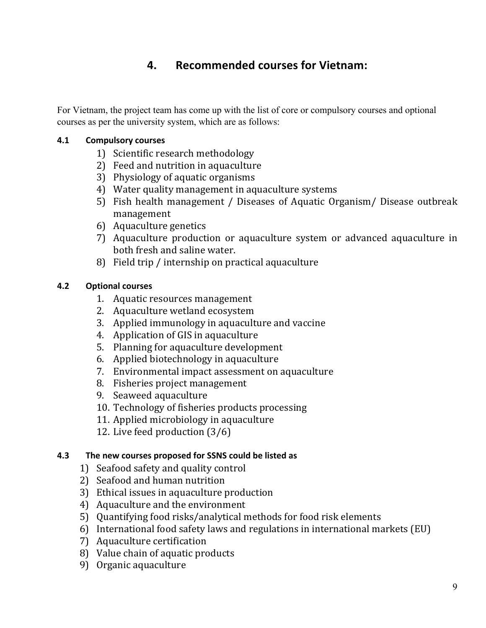# **4. Recommended courses for Vietnam:**

For Vietnam, the project team has come up with the list of core or compulsory courses and optional courses as per the university system, which are as follows:

# **4.1 Compulsory courses**

- 1) Scientific research methodology
- 2) Feed and nutrition in aquaculture
- 3) Physiology of aquatic organisms
- 4) Water quality management in aquaculture systems
- 5) Fish health management / Diseases of Aquatic Organism/ Disease outbreak management
- 6) Aquaculture genetics
- 7) Aquaculture production or aquaculture system or advanced aquaculture in both fresh and saline water.
- 8) Field trip / internship on practical aquaculture

# **4.2 Optional courses**

- 1. Aquatic resources management
- 2. Aquaculture wetland ecosystem
- 3. Applied immunology in aquaculture and vaccine
- 4. Application of GIS in aquaculture
- 5. Planning for aquaculture development
- 6. Applied biotechnology in aquaculture
- 7. Environmental impact assessment on aquaculture
- 8. Fisheries project management
- 9. Seaweed aquaculture
- 10. Technology of fisheries products processing
- 11. Applied microbiology in aquaculture
- 12. Live feed production  $(3/6)$

# **4.3** The new courses proposed for SSNS could be listed as

- 1) Seafood safety and quality control
- 2) Seafood and human nutrition
- 3) Ethical issues in aquaculture production
- 4) Aquaculture and the environment
- 5) Quantifying food risks/analytical methods for food risk elements
- 6) International food safety laws and regulations in international markets (EU)
- 7) Aquaculture certification
- 8) Value chain of aquatic products
- 9) Organic aquaculture